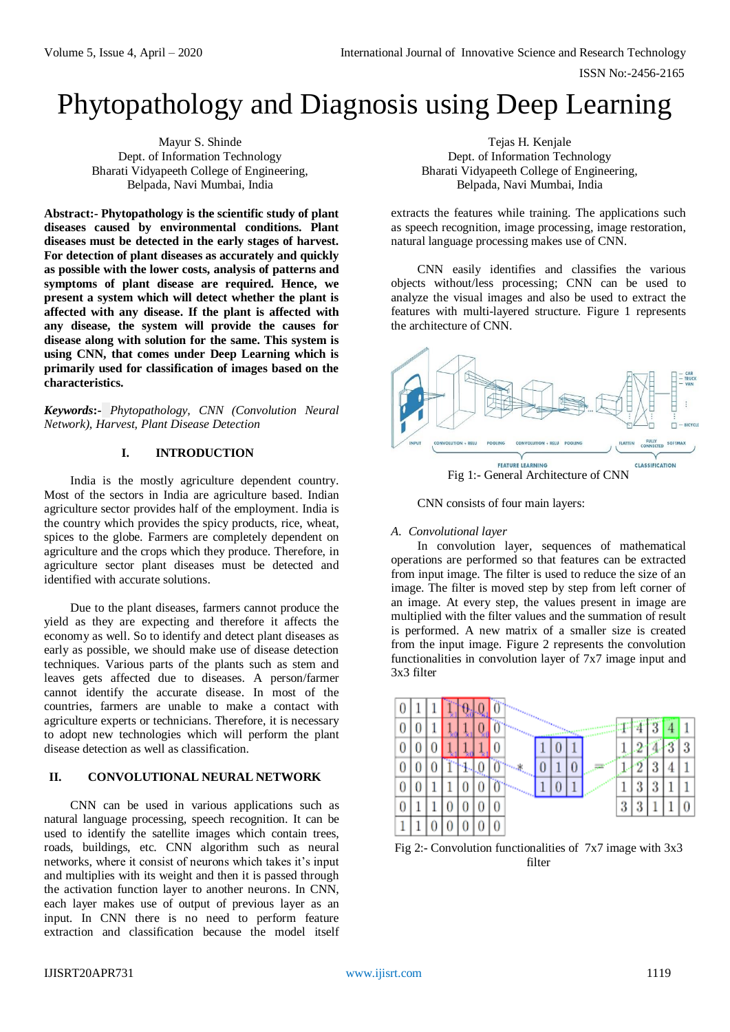# Phytopathology and Diagnosis using Deep Learning

Mayur S. Shinde Dept. of Information Technology Bharati Vidyapeeth College of Engineering, Belpada, Navi Mumbai, India

**Abstract:- Phytopathology is the scientific study of plant diseases caused by environmental conditions. Plant diseases must be detected in the early stages of harvest. For detection of plant diseases as accurately and quickly as possible with the lower costs, analysis of patterns and symptoms of plant disease are required. Hence, we present a system which will detect whether the plant is affected with any disease. If the plant is affected with any disease, the system will provide the causes for disease along with solution for the same. This system is using CNN, that comes under Deep Learning which is primarily used for classification of images based on the characteristics.**

*Keywords***:-** *Phytopathology, CNN (Convolution Neural Network), Harvest, Plant Disease Detection*

# **I. INTRODUCTION**

India is the mostly agriculture dependent country. Most of the sectors in India are agriculture based. Indian agriculture sector provides half of the employment. India is the country which provides the spicy products, rice, wheat, spices to the globe. Farmers are completely dependent on agriculture and the crops which they produce. Therefore, in agriculture sector plant diseases must be detected and identified with accurate solutions.

Due to the plant diseases, farmers cannot produce the yield as they are expecting and therefore it affects the economy as well. So to identify and detect plant diseases as early as possible, we should make use of disease detection techniques. Various parts of the plants such as stem and leaves gets affected due to diseases. A person/farmer cannot identify the accurate disease. In most of the countries, farmers are unable to make a contact with agriculture experts or technicians. Therefore, it is necessary to adopt new technologies which will perform the plant disease detection as well as classification.

## **II. CONVOLUTIONAL NEURAL NETWORK**

CNN can be used in various applications such as natural language processing, speech recognition. It can be used to identify the satellite images which contain trees, roads, buildings, etc. CNN algorithm such as neural networks, where it consist of neurons which takes it's input and multiplies with its weight and then it is passed through the activation function layer to another neurons. In CNN, each layer makes use of output of previous layer as an input. In CNN there is no need to perform feature extraction and classification because the model itself

Tejas H. Kenjale Dept. of Information Technology Bharati Vidyapeeth College of Engineering, Belpada, Navi Mumbai, India

extracts the features while training. The applications such as speech recognition, image processing, image restoration, natural language processing makes use of CNN.

CNN easily identifies and classifies the various objects without/less processing; CNN can be used to analyze the visual images and also be used to extract the features with multi-layered structure. Figure 1 represents the architecture of CNN.



CNN consists of four main layers:

# *A. Convolutional layer*

In convolution layer, sequences of mathematical operations are performed so that features can be extracted from input image. The filter is used to reduce the size of an image. The filter is moved step by step from left corner of an image. At every step, the values present in image are multiplied with the filter values and the summation of result is performed. A new matrix of a smaller size is created from the input image. Figure 2 represents the convolution functionalities in convolution layer of 7x7 image input and 3x3 filter



Fig 2:- Convolution functionalities of  $7x7$  image with  $3x3$ filter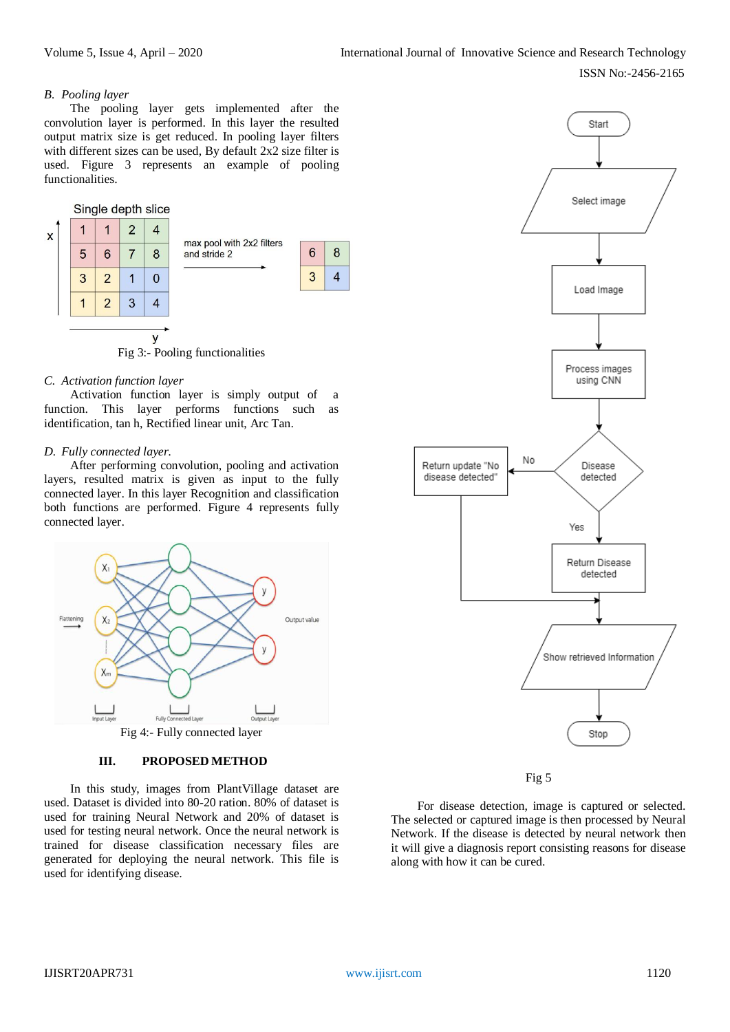## *B. Pooling layer*

The pooling layer gets implemented after the convolution layer is performed. In this layer the resulted output matrix size is get reduced. In pooling layer filters with different sizes can be used, By default 2x2 size filter is used. Figure 3 represents an example of pooling functionalities.



Fig 3:- Pooling functionalities

## *C. Activation function layer*

Activation function layer is simply output of a function. This layer performs functions such as identification, tan h, Rectified linear unit, Arc Tan.

## *D. Fully connected layer.*

After performing convolution, pooling and activation layers, resulted matrix is given as input to the fully connected layer. In this layer Recognition and classification both functions are performed. Figure 4 represents fully connected layer.



## **III. PROPOSED METHOD**

In this study, images from PlantVillage dataset are used. Dataset is divided into 80-20 ration. 80% of dataset is used for training Neural Network and 20% of dataset is used for testing neural network. Once the neural network is trained for disease classification necessary files are generated for deploying the neural network. This file is used for identifying disease.



Fig 5

For disease detection, image is captured or selected. The selected or captured image is then processed by Neural Network. If the disease is detected by neural network then it will give a diagnosis report consisting reasons for disease along with how it can be cured.